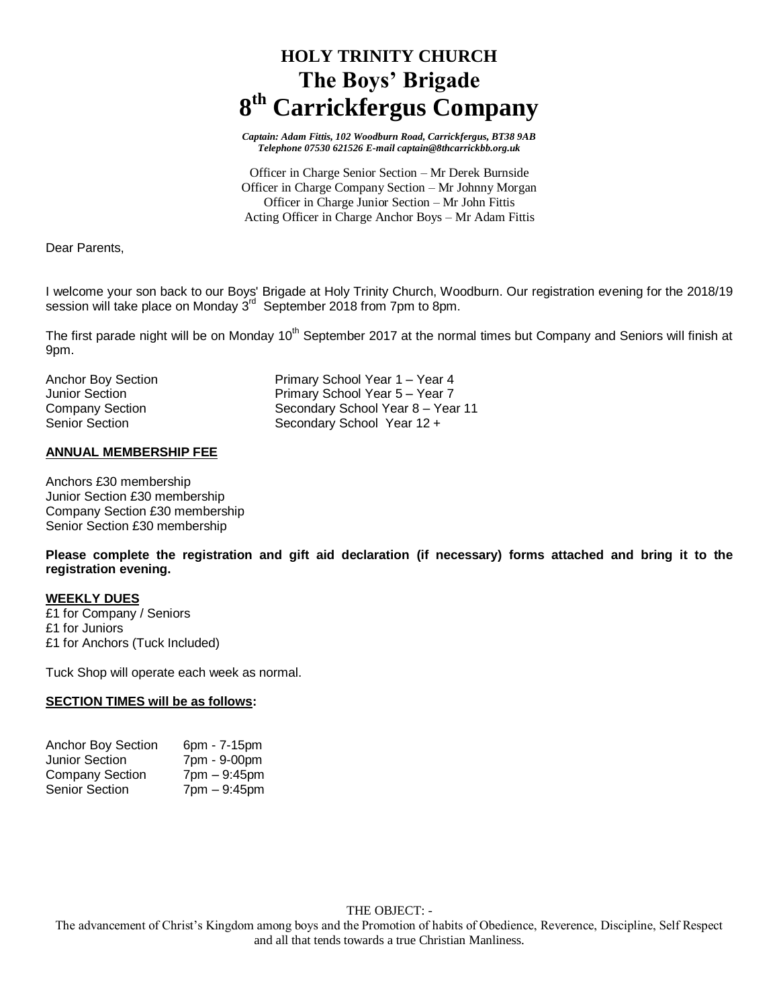# **HOLY TRINITY CHURCH The Boys' Brigade 8 th Carrickfergus Company**

*Captain: Adam Fittis, 102 Woodburn Road, Carrickfergus, BT38 9AB Telephone 07530 621526 E-mail captain@8thcarrickbb.org.uk*

Officer in Charge Senior Section – Mr Derek Burnside Officer in Charge Company Section – Mr Johnny Morgan Officer in Charge Junior Section – Mr John Fittis Acting Officer in Charge Anchor Boys – Mr Adam Fittis

Dear Parents,

I welcome your son back to our Boys' Brigade at Holy Trinity Church, Woodburn. Our registration evening for the 2018/19 session will take place on Monday 3<sup>rd</sup> September 2018 from 7pm to 8pm.

The first parade night will be on Monday 10<sup>th</sup> September 2017 at the normal times but Company and Seniors will finish at 9pm.

| Anchor Boy Section | Primary School Year 1 – Year 4    |
|--------------------|-----------------------------------|
| Junior Section     | Primary School Year 5 – Year 7    |
| Company Section    | Secondary School Year 8 - Year 11 |
| Senior Section     | Secondary School Year 12 +        |

### **ANNUAL MEMBERSHIP FEE**

Anchors £30 membership Junior Section £30 membership Company Section £30 membership Senior Section £30 membership

**Please complete the registration and gift aid declaration (if necessary) forms attached and bring it to the registration evening.**

# **WEEKLY DUES**

£1 for Company / Seniors £1 for Juniors £1 for Anchors (Tuck Included)

Tuck Shop will operate each week as normal.

#### **SECTION TIMES will be as follows:**

| <b>Anchor Boy Section</b> | 6pm - 7-15pm                   |
|---------------------------|--------------------------------|
| Junior Section            | 7pm - 9-00pm                   |
| <b>Company Section</b>    | $7 \text{pm} - 9:45 \text{pm}$ |
| <b>Senior Section</b>     | $7$ pm $-9:45$ pm              |

The advancement of Christ's Kingdom among boys and the Promotion of habits of Obedience, Reverence, Discipline, Self Respect and all that tends towards a true Christian Manliness.

#### THE OBJECT: -